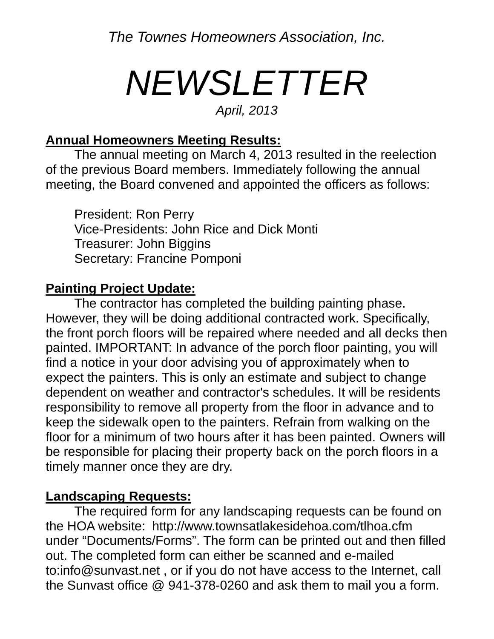*The Townes Homeowners Association, Inc.* 

# *NEWSLETTER*

#### *April, 2013*

#### **Annual Homeowners Meeting Results:**

 The annual meeting on March 4, 2013 resulted in the reelection of the previous Board members. Immediately following the annual meeting, the Board convened and appointed the officers as follows:

 President: Ron Perry Vice-Presidents: John Rice and Dick Monti Treasurer: John Biggins Secretary: Francine Pomponi

#### **Painting Project Update:**

 The contractor has completed the building painting phase. However, they will be doing additional contracted work. Specifically, the front porch floors will be repaired where needed and all decks then painted. IMPORTANT: In advance of the porch floor painting, you will find a notice in your door advising you of approximately when to expect the painters. This is only an estimate and subject to change dependent on weather and contractor's schedules. It will be residents responsibility to remove all property from the floor in advance and to keep the sidewalk open to the painters. Refrain from walking on the floor for a minimum of two hours after it has been painted. Owners will be responsible for placing their property back on the porch floors in a timely manner once they are dry.

#### **Landscaping Requests:**

 The required form for any landscaping requests can be found on the HOA website: http://www.townsatlakesidehoa.com/tlhoa.cfm under "Documents/Forms". The form can be printed out and then filled out. The completed form can either be scanned and e-mailed to:info@sunvast.net , or if you do not have access to the Internet, call the Sunvast office @ 941-378-0260 and ask them to mail you a form.